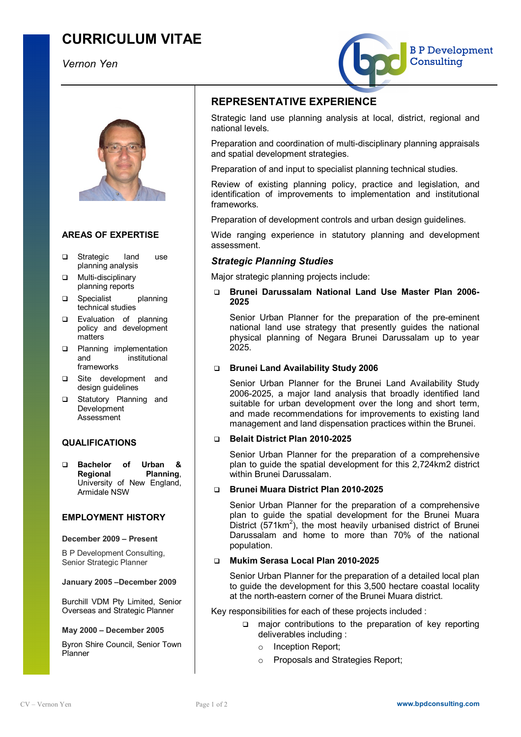# **CURRICULUM VITAE**

# *Vernon Yen*





# **AREAS OF EXPERTISE**

- □ Strategic land use planning analysis
- **Q** Multi-disciplinary planning reports
- q Specialist planning technical studies
- **Q** Evaluation of planning policy and development matters
- **q** Planning implementation and institutional frameworks
- **Q** Site development and design guidelines
- **Q** Statutory Planning and Development Assessment

## **QUALIFICATIONS**

q **Bachelor of Urban & Regional Planning**, University of New England, Armidale NSW

### **EMPLOYMENT HISTORY**

#### **December 2009 – Present**

B P Development Consulting, Senior Strategic Planner

#### **January 2005 –December 2009**

Burchill VDM Pty Limited, Senior Overseas and Strategic Planner

#### **May 2000 – December 2005**

Byron Shire Council, Senior Town **Planner** 

# **REPRESENTATIVE EXPERIENCE**

Strategic land use planning analysis at local, district, regional and national levels.

Preparation and coordination of multi-disciplinary planning appraisals and spatial development strategies.

Preparation of and input to specialist planning technical studies.

Review of existing planning policy, practice and legislation, and identification of improvements to implementation and institutional frameworks.

Preparation of development controls and urban design guidelines.

Wide ranging experience in statutory planning and development assessment.

## *Strategic Planning Studies*

Major strategic planning projects include:

q **Brunei Darussalam National Land Use Master Plan 2006- 2025** 

Senior Urban Planner for the preparation of the pre-eminent national land use strategy that presently guides the national physical planning of Negara Brunei Darussalam up to year 2025.

#### q **Brunei Land Availability Study 2006**

Senior Urban Planner for the Brunei Land Availability Study 2006-2025, a major land analysis that broadly identified land suitable for urban development over the long and short term, and made recommendations for improvements to existing land management and land dispensation practices within the Brunei.

#### q **Belait District Plan 2010-2025**

Senior Urban Planner for the preparation of a comprehensive plan to guide the spatial development for this 2,724km2 district within Brunei Darussalam.

#### q **Brunei Muara District Plan 2010-2025**

Senior Urban Planner for the preparation of a comprehensive plan to guide the spatial development for the Brunei Muara District ( $\overline{571}$ km<sup>2</sup>), the most heavily urbanised district of Brunei Darussalam and home to more than 70% of the national population.

### q **Mukim Serasa Local Plan 2010-2025**

Senior Urban Planner for the preparation of a detailed local plan to guide the development for this 3,500 hectare coastal locality at the north-eastern corner of the Brunei Muara district.

Key responsibilities for each of these projects included :

- major contributions to the preparation of key reporting deliverables including :
	- o Inception Report;
	- o Proposals and Strategies Report;